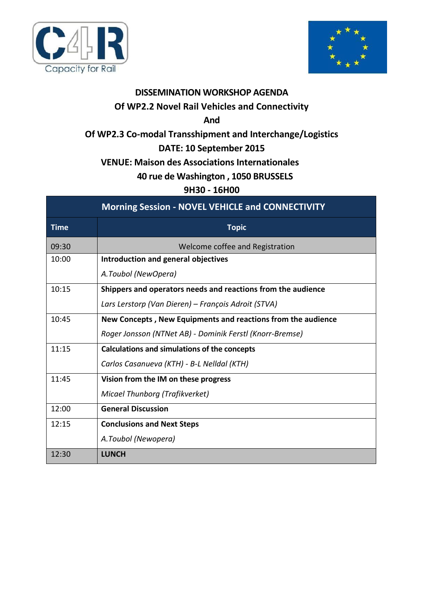



## **DISSEMINATION WORKSHOP AGENDA**

## **Of WP2.2 Novel Rail Vehicles and Connectivity**

**And**

## **Of WP2.3 Co-modal Transshipment and Interchange/Logistics**

## **DATE: 10 September 2015**

### **VENUE: Maison des Associations Internationales**

### **40 rue de Washington , 1050 BRUSSELS**

### **9H30 - 16H00**

| <b>Morning Session - NOVEL VEHICLE and CONNECTIVITY</b> |                                                              |  |  |  |  |  |
|---------------------------------------------------------|--------------------------------------------------------------|--|--|--|--|--|
| <b>Time</b>                                             | <b>Topic</b>                                                 |  |  |  |  |  |
| 09:30                                                   | Welcome coffee and Registration                              |  |  |  |  |  |
| 10:00                                                   | Introduction and general objectives                          |  |  |  |  |  |
|                                                         | A.Toubol (NewOpera)                                          |  |  |  |  |  |
| 10:15                                                   | Shippers and operators needs and reactions from the audience |  |  |  |  |  |
|                                                         | Lars Lerstorp (Van Dieren) – François Adroit (STVA)          |  |  |  |  |  |
| 10:45                                                   | New Concepts, New Equipments and reactions from the audience |  |  |  |  |  |
|                                                         | Roger Jonsson (NTNet AB) - Dominik Ferstl (Knorr-Bremse)     |  |  |  |  |  |
| 11:15                                                   | <b>Calculations and simulations of the concepts</b>          |  |  |  |  |  |
|                                                         | Carlos Casanueva (KTH) - B-L Nelldal (KTH)                   |  |  |  |  |  |
| 11:45                                                   | Vision from the IM on these progress                         |  |  |  |  |  |
|                                                         | Micael Thunborg (Trafikverket)                               |  |  |  |  |  |
| 12:00                                                   | <b>General Discussion</b>                                    |  |  |  |  |  |
| 12:15                                                   | <b>Conclusions and Next Steps</b>                            |  |  |  |  |  |
|                                                         | A.Toubol (Newopera)                                          |  |  |  |  |  |
| 12:30                                                   | <b>LUNCH</b>                                                 |  |  |  |  |  |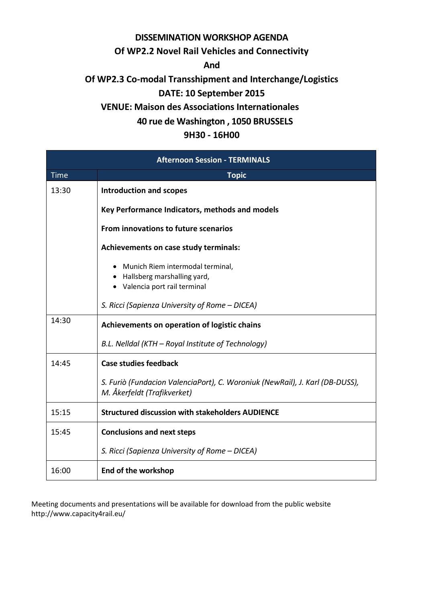## **DISSEMINATION WORKSHOP AGENDA**

#### **Of WP2.2 Novel Rail Vehicles and Connectivity**

**And**

# **Of WP2.3 Co-modal Transshipment and Interchange/Logistics**

## **DATE: 10 September 2015**

### **VENUE: Maison des Associations Internationales**

### **40 rue de Washington , 1050 BRUSSELS**

### **9H30 - 16H00**

| <b>Afternoon Session - TERMINALS</b> |                                                                                                             |  |  |  |  |
|--------------------------------------|-------------------------------------------------------------------------------------------------------------|--|--|--|--|
| <b>Time</b>                          | <b>Topic</b>                                                                                                |  |  |  |  |
| 13:30                                | <b>Introduction and scopes</b>                                                                              |  |  |  |  |
|                                      | Key Performance Indicators, methods and models                                                              |  |  |  |  |
|                                      | From innovations to future scenarios                                                                        |  |  |  |  |
|                                      | Achievements on case study terminals:                                                                       |  |  |  |  |
|                                      | • Munich Riem intermodal terminal,<br>• Hallsberg marshalling yard,                                         |  |  |  |  |
|                                      | • Valencia port rail terminal                                                                               |  |  |  |  |
|                                      | S. Ricci (Sapienza University of Rome – DICEA)                                                              |  |  |  |  |
| 14:30                                | Achievements on operation of logistic chains                                                                |  |  |  |  |
|                                      | B.L. Nelldal (KTH - Royal Institute of Technology)                                                          |  |  |  |  |
| 14:45                                | <b>Case studies feedback</b>                                                                                |  |  |  |  |
|                                      | S. Furiò (Fundacion ValenciaPort), C. Woroniuk (NewRail), J. Karl (DB-DUSS),<br>M. Åkerfeldt (Trafikverket) |  |  |  |  |
| 15:15                                | <b>Structured discussion with stakeholders AUDIENCE</b>                                                     |  |  |  |  |
| 15:45                                | <b>Conclusions and next steps</b>                                                                           |  |  |  |  |
|                                      | S. Ricci (Sapienza University of Rome – DICEA)                                                              |  |  |  |  |
| 16:00                                | End of the workshop                                                                                         |  |  |  |  |

Meeting documents and presentations will be available for download from the public website http://www.capacity4rail.eu/